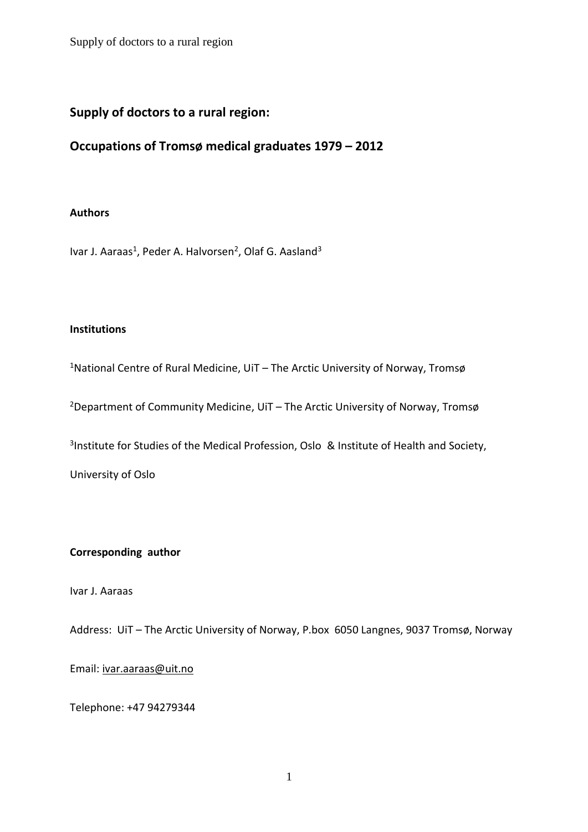# **Supply of doctors to a rural region:**

# **Occupations of Tromsø medical graduates 1979 – 2012**

### **Authors**

Ivar J. Aaraas<sup>1</sup>, Peder A. Halvorsen<sup>2</sup>, Olaf G. Aasland<sup>3</sup>

### **Institutions**

<sup>1</sup>National Centre of Rural Medicine, UiT – The Arctic University of Norway, Tromsø

<sup>2</sup>Department of Community Medicine, UiT – The Arctic University of Norway, Tromsø

<sup>3</sup>Institute for Studies of the Medical Profession, Oslo & Institute of Health and Society,

University of Oslo

### **Corresponding author**

Ivar J. Aaraas

Address: UiT – The Arctic University of Norway, P.box 6050 Langnes, 9037 Tromsø, Norway

### Email: [ivar.aaraas@uit.no](mailto:ivar.aaraas@uit.no)

Telephone: +47 94279344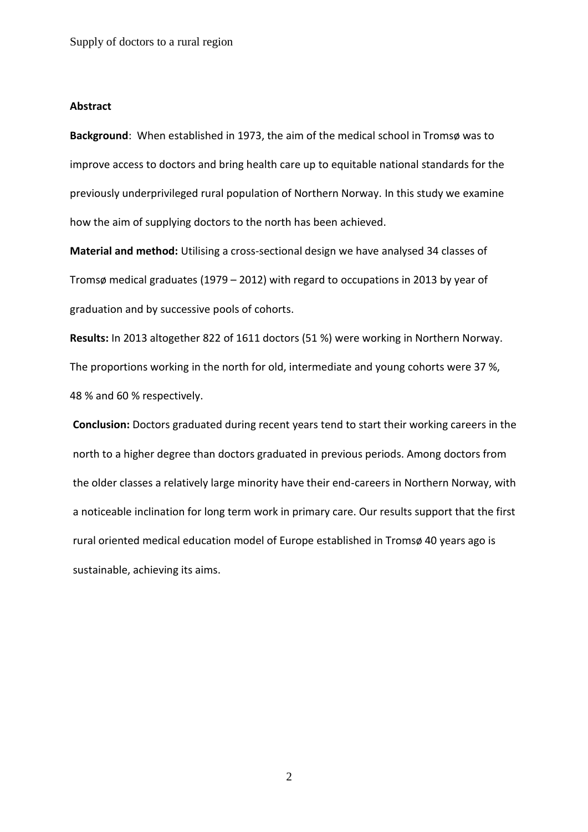#### **Abstract**

**Background**: When established in 1973, the aim of the medical school in Tromsø was to improve access to doctors and bring health care up to equitable national standards for the previously underprivileged rural population of Northern Norway. In this study we examine how the aim of supplying doctors to the north has been achieved.

**Material and method:** Utilising a cross-sectional design we have analysed 34 classes of Tromsø medical graduates (1979 – 2012) with regard to occupations in 2013 by year of graduation and by successive pools of cohorts.

**Results:** In 2013 altogether 822 of 1611 doctors (51 %) were working in Northern Norway. The proportions working in the north for old, intermediate and young cohorts were 37 %, 48 % and 60 % respectively.

**Conclusion:** Doctors graduated during recent years tend to start their working careers in the north to a higher degree than doctors graduated in previous periods. Among doctors from the older classes a relatively large minority have their end-careers in Northern Norway, with a noticeable inclination for long term work in primary care. Our results support that the first rural oriented medical education model of Europe established in Tromsø 40 years ago is sustainable, achieving its aims.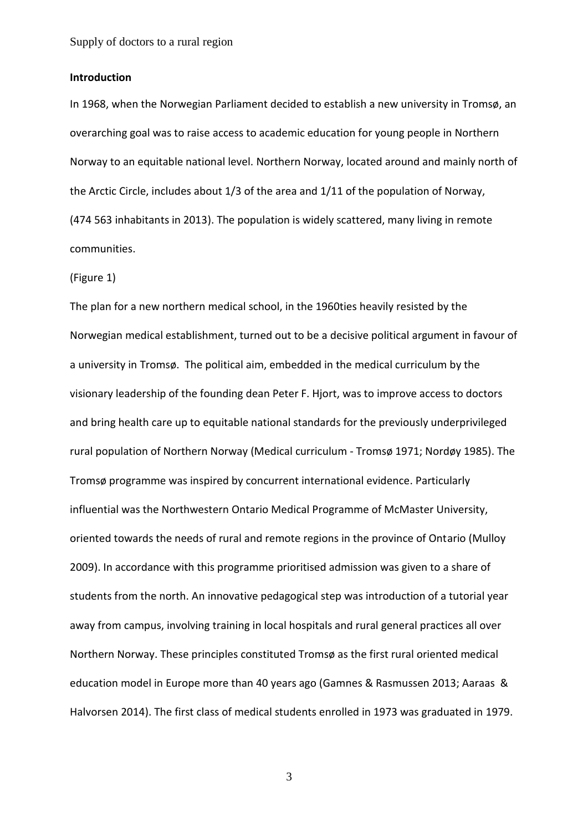#### **Introduction**

In 1968, when the Norwegian Parliament decided to establish a new university in Tromsø, an overarching goal was to raise access to academic education for young people in Northern Norway to an equitable national level. Northern Norway, located around and mainly north of the Arctic Circle, includes about 1/3 of the area and 1/11 of the population of Norway, (474 563 inhabitants in 2013). The population is widely scattered, many living in remote communities.

#### (Figure 1)

The plan for a new northern medical school, in the 1960ties heavily resisted by the Norwegian medical establishment, turned out to be a decisive political argument in favour of a university in Tromsø. The political aim, embedded in the medical curriculum by the visionary leadership of the founding dean Peter F. Hjort, was to improve access to doctors and bring health care up to equitable national standards for the previously underprivileged rural population of Northern Norway (Medical curriculum - Tromsø 1971; Nordøy 1985). The Tromsø programme was inspired by concurrent international evidence. Particularly influential was the Northwestern Ontario Medical Programme of McMaster University, oriented towards the needs of rural and remote regions in the province of Ontario (Mulloy 2009). In accordance with this programme prioritised admission was given to a share of students from the north. An innovative pedagogical step was introduction of a tutorial year away from campus, involving training in local hospitals and rural general practices all over Northern Norway. These principles constituted Tromsø as the first rural oriented medical education model in Europe more than 40 years ago (Gamnes & Rasmussen 2013; Aaraas & Halvorsen 2014). The first class of medical students enrolled in 1973 was graduated in 1979.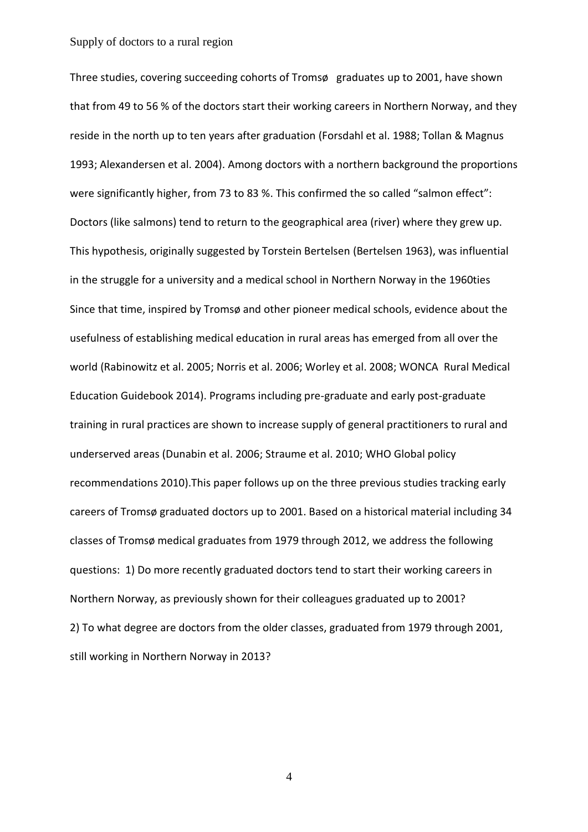Three studies, covering succeeding cohorts of Tromsø graduates up to 2001, have shown that from 49 to 56 % of the doctors start their working careers in Northern Norway, and they reside in the north up to ten years after graduation (Forsdahl et al. 1988; Tollan & Magnus 1993; Alexandersen et al. 2004). Among doctors with a northern background the proportions were significantly higher, from 73 to 83 %. This confirmed the so called "salmon effect": Doctors (like salmons) tend to return to the geographical area (river) where they grew up. This hypothesis, originally suggested by Torstein Bertelsen (Bertelsen 1963), was influential in the struggle for a university and a medical school in Northern Norway in the 1960ties Since that time, inspired by Tromsø and other pioneer medical schools, evidence about the usefulness of establishing medical education in rural areas has emerged from all over the world (Rabinowitz et al. 2005; Norris et al. 2006; Worley et al. 2008; WONCA Rural Medical Education Guidebook 2014). Programs including pre-graduate and early post-graduate training in rural practices are shown to increase supply of general practitioners to rural and underserved areas (Dunabin et al. 2006; Straume et al. 2010; WHO Global policy recommendations 2010).This paper follows up on the three previous studies tracking early careers of Tromsø graduated doctors up to 2001. Based on a historical material including 34 classes of Tromsø medical graduates from 1979 through 2012, we address the following questions: 1) Do more recently graduated doctors tend to start their working careers in Northern Norway, as previously shown for their colleagues graduated up to 2001? 2) To what degree are doctors from the older classes, graduated from 1979 through 2001, still working in Northern Norway in 2013?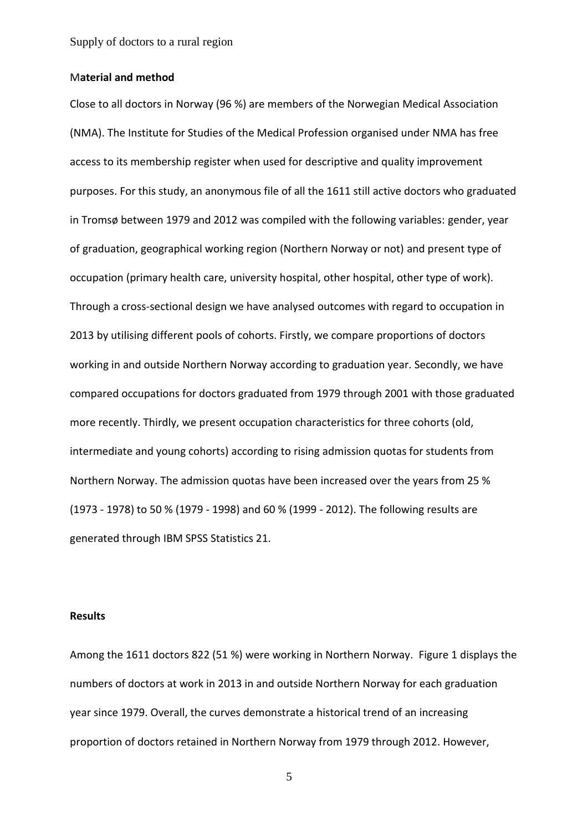#### M**aterial and method**

Close to all doctors in Norway (96 %) are members of the Norwegian Medical Association (NMA). The Institute for Studies of the Medical Profession organised under NMA has free access to its membership register when used for descriptive and quality improvement purposes. For this study, an anonymous file of all the 1611 still active doctors who graduated in Tromsø between 1979 and 2012 was compiled with the following variables: gender, year of graduation, geographical working region (Northern Norway or not) and present type of occupation (primary health care, university hospital, other hospital, other type of work). Through a cross-sectional design we have analysed outcomes with regard to occupation in 2013 by utilising different pools of cohorts. Firstly, we compare proportions of doctors working in and outside Northern Norway according to graduation year. Secondly, we have compared occupations for doctors graduated from 1979 through 2001 with those graduated more recently. Thirdly, we present occupation characteristics for three cohorts (old, intermediate and young cohorts) according to rising admission quotas for students from Northern Norway. The admission quotas have been increased over the years from 25 % (1973 - 1978) to 50 % (1979 - 1998) and 60 % (1999 - 2012). The following results are generated through IBM SPSS Statistics 21.

### **Results**

Among the 1611 doctors 822 (51 %) were working in Northern Norway. Figure 1 displays the numbers of doctors at work in 2013 in and outside Northern Norway for each graduation year since 1979. Overall, the curves demonstrate a historical trend of an increasing proportion of doctors retained in Northern Norway from 1979 through 2012. However,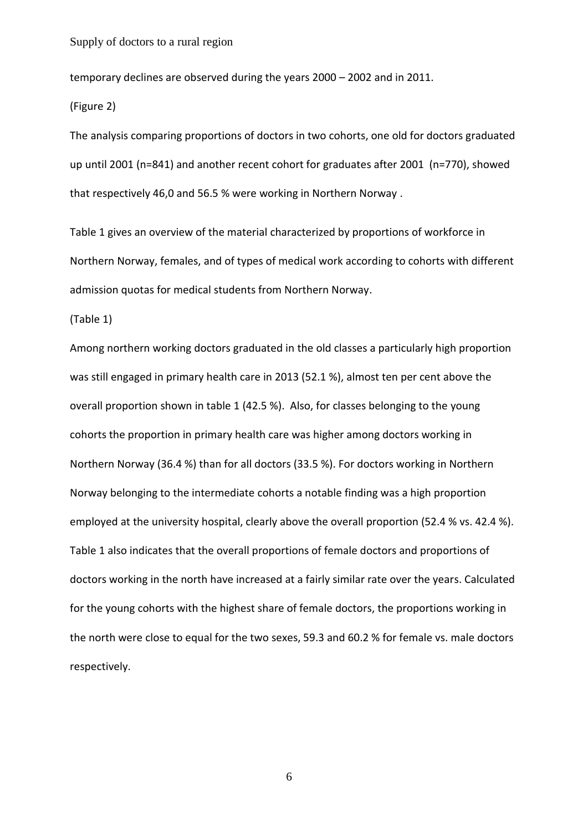temporary declines are observed during the years 2000 – 2002 and in 2011.

(Figure 2)

The analysis comparing proportions of doctors in two cohorts, one old for doctors graduated up until 2001 (n=841) and another recent cohort for graduates after 2001 (n=770), showed that respectively 46,0 and 56.5 % were working in Northern Norway .

Table 1 gives an overview of the material characterized by proportions of workforce in Northern Norway, females, and of types of medical work according to cohorts with different admission quotas for medical students from Northern Norway.

(Table 1)

Among northern working doctors graduated in the old classes a particularly high proportion was still engaged in primary health care in 2013 (52.1 %), almost ten per cent above the overall proportion shown in table 1 (42.5 %). Also, for classes belonging to the young cohorts the proportion in primary health care was higher among doctors working in Northern Norway (36.4 %) than for all doctors (33.5 %). For doctors working in Northern Norway belonging to the intermediate cohorts a notable finding was a high proportion employed at the university hospital, clearly above the overall proportion (52.4 % vs. 42.4 %). Table 1 also indicates that the overall proportions of female doctors and proportions of doctors working in the north have increased at a fairly similar rate over the years. Calculated for the young cohorts with the highest share of female doctors, the proportions working in the north were close to equal for the two sexes, 59.3 and 60.2 % for female vs. male doctors respectively.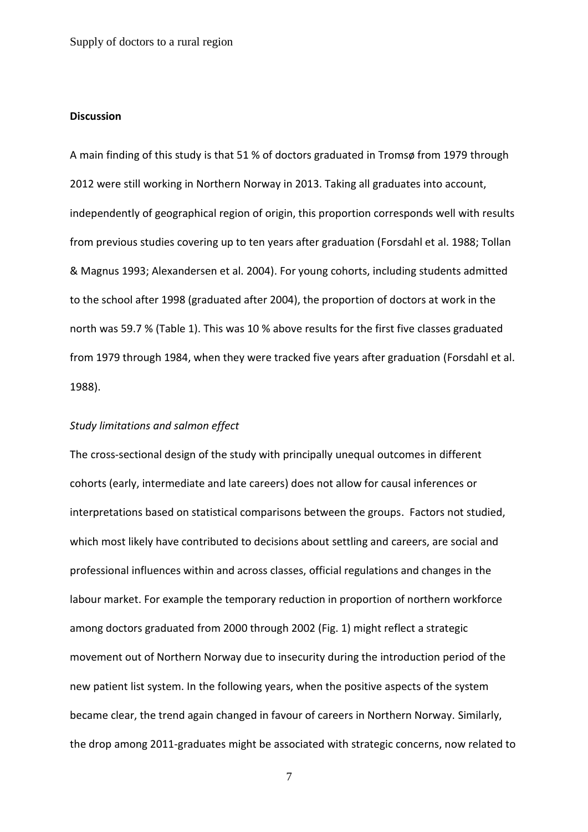### **Discussion**

A main finding of this study is that 51 % of doctors graduated in Tromsø from 1979 through 2012 were still working in Northern Norway in 2013. Taking all graduates into account, independently of geographical region of origin, this proportion corresponds well with results from previous studies covering up to ten years after graduation (Forsdahl et al. 1988; Tollan & Magnus 1993; Alexandersen et al. 2004). For young cohorts, including students admitted to the school after 1998 (graduated after 2004), the proportion of doctors at work in the north was 59.7 % (Table 1). This was 10 % above results for the first five classes graduated from 1979 through 1984, when they were tracked five years after graduation (Forsdahl et al. 1988).

#### *Study limitations and salmon effect*

The cross-sectional design of the study with principally unequal outcomes in different cohorts (early, intermediate and late careers) does not allow for causal inferences or interpretations based on statistical comparisons between the groups. Factors not studied, which most likely have contributed to decisions about settling and careers, are social and professional influences within and across classes, official regulations and changes in the labour market. For example the temporary reduction in proportion of northern workforce among doctors graduated from 2000 through 2002 (Fig. 1) might reflect a strategic movement out of Northern Norway due to insecurity during the introduction period of the new patient list system. In the following years, when the positive aspects of the system became clear, the trend again changed in favour of careers in Northern Norway. Similarly, the drop among 2011-graduates might be associated with strategic concerns, now related to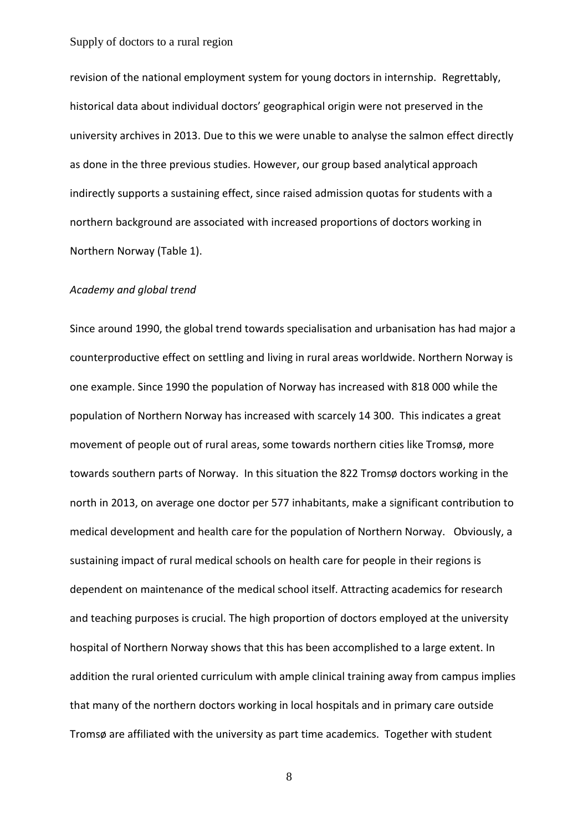revision of the national employment system for young doctors in internship. Regrettably, historical data about individual doctors' geographical origin were not preserved in the university archives in 2013. Due to this we were unable to analyse the salmon effect directly as done in the three previous studies. However, our group based analytical approach indirectly supports a sustaining effect, since raised admission quotas for students with a northern background are associated with increased proportions of doctors working in Northern Norway (Table 1).

#### *Academy and global trend*

Since around 1990, the global trend towards specialisation and urbanisation has had major a counterproductive effect on settling and living in rural areas worldwide. Northern Norway is one example. Since 1990 the population of Norway has increased with 818 000 while the population of Northern Norway has increased with scarcely 14 300. This indicates a great movement of people out of rural areas, some towards northern cities like Tromsø, more towards southern parts of Norway. In this situation the 822 Tromsø doctors working in the north in 2013, on average one doctor per 577 inhabitants, make a significant contribution to medical development and health care for the population of Northern Norway. Obviously, a sustaining impact of rural medical schools on health care for people in their regions is dependent on maintenance of the medical school itself. Attracting academics for research and teaching purposes is crucial. The high proportion of doctors employed at the university hospital of Northern Norway shows that this has been accomplished to a large extent. In addition the rural oriented curriculum with ample clinical training away from campus implies that many of the northern doctors working in local hospitals and in primary care outside Tromsø are affiliated with the university as part time academics. Together with student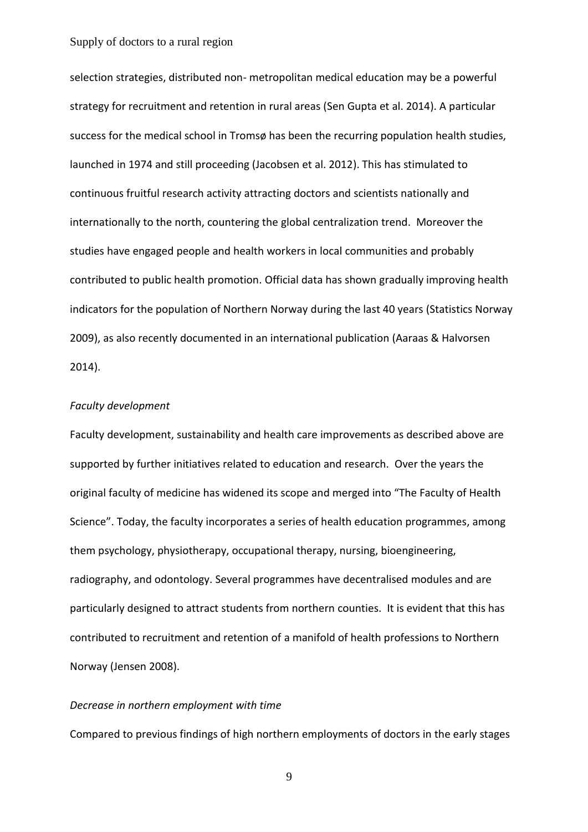selection strategies, distributed non- metropolitan medical education may be a powerful strategy for recruitment and retention in rural areas (Sen Gupta et al. 2014). A particular success for the medical school in Tromsø has been the recurring population health studies, launched in 1974 and still proceeding (Jacobsen et al. 2012). This has stimulated to continuous fruitful research activity attracting doctors and scientists nationally and internationally to the north, countering the global centralization trend. Moreover the studies have engaged people and health workers in local communities and probably contributed to public health promotion. Official data has shown gradually improving health indicators for the population of Northern Norway during the last 40 years (Statistics Norway 2009), as also recently documented in an international publication (Aaraas & Halvorsen 2014).

#### *Faculty development*

Faculty development, sustainability and health care improvements as described above are supported by further initiatives related to education and research. Over the years the original faculty of medicine has widened its scope and merged into "The Faculty of Health Science". Today, the faculty incorporates a series of health education programmes, among them psychology, physiotherapy, occupational therapy, nursing, bioengineering, radiography, and odontology. Several programmes have decentralised modules and are particularly designed to attract students from northern counties. It is evident that this has contributed to recruitment and retention of a manifold of health professions to Northern Norway (Jensen 2008).

#### *Decrease in northern employment with time*

Compared to previous findings of high northern employments of doctors in the early stages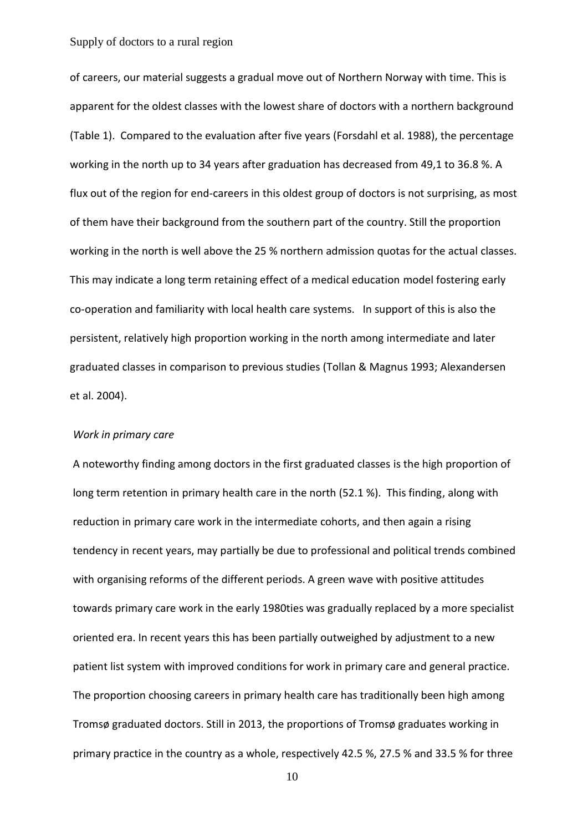of careers, our material suggests a gradual move out of Northern Norway with time. This is apparent for the oldest classes with the lowest share of doctors with a northern background (Table 1). Compared to the evaluation after five years (Forsdahl et al. 1988), the percentage working in the north up to 34 years after graduation has decreased from 49,1 to 36.8 %. A flux out of the region for end-careers in this oldest group of doctors is not surprising, as most of them have their background from the southern part of the country. Still the proportion working in the north is well above the 25 % northern admission quotas for the actual classes. This may indicate a long term retaining effect of a medical education model fostering early co-operation and familiarity with local health care systems. In support of this is also the persistent, relatively high proportion working in the north among intermediate and later graduated classes in comparison to previous studies (Tollan & Magnus 1993; Alexandersen et al. 2004).

#### *Work in primary care*

A noteworthy finding among doctors in the first graduated classes is the high proportion of long term retention in primary health care in the north (52.1 %). This finding, along with reduction in primary care work in the intermediate cohorts, and then again a rising tendency in recent years, may partially be due to professional and political trends combined with organising reforms of the different periods. A green wave with positive attitudes towards primary care work in the early 1980ties was gradually replaced by a more specialist oriented era. In recent years this has been partially outweighed by adjustment to a new patient list system with improved conditions for work in primary care and general practice. The proportion choosing careers in primary health care has traditionally been high among Tromsø graduated doctors. Still in 2013, the proportions of Tromsø graduates working in primary practice in the country as a whole, respectively 42.5 %, 27.5 % and 33.5 % for three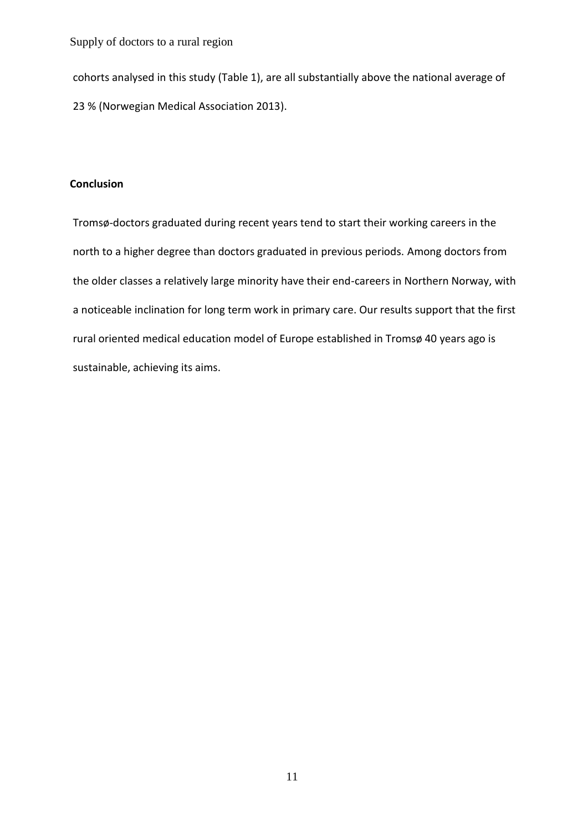cohorts analysed in this study (Table 1), are all substantially above the national average of 23 % (Norwegian Medical Association 2013).

### **Conclusion**

Tromsø-doctors graduated during recent years tend to start their working careers in the north to a higher degree than doctors graduated in previous periods. Among doctors from the older classes a relatively large minority have their end-careers in Northern Norway, with a noticeable inclination for long term work in primary care. Our results support that the first rural oriented medical education model of Europe established in Tromsø 40 years ago is sustainable, achieving its aims.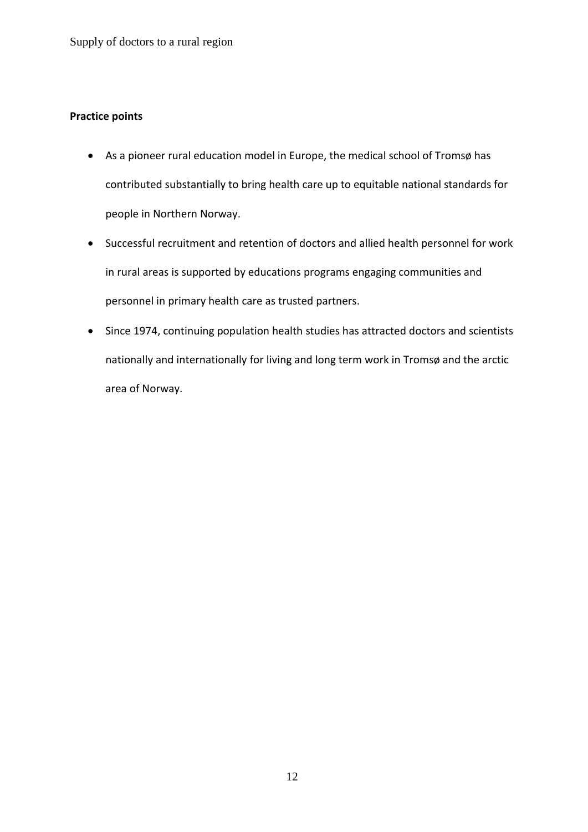## **Practice points**

- As a pioneer rural education model in Europe, the medical school of Tromsø has contributed substantially to bring health care up to equitable national standards for people in Northern Norway.
- Successful recruitment and retention of doctors and allied health personnel for work in rural areas is supported by educations programs engaging communities and personnel in primary health care as trusted partners.
- Since 1974, continuing population health studies has attracted doctors and scientists nationally and internationally for living and long term work in Tromsø and the arctic area of Norway.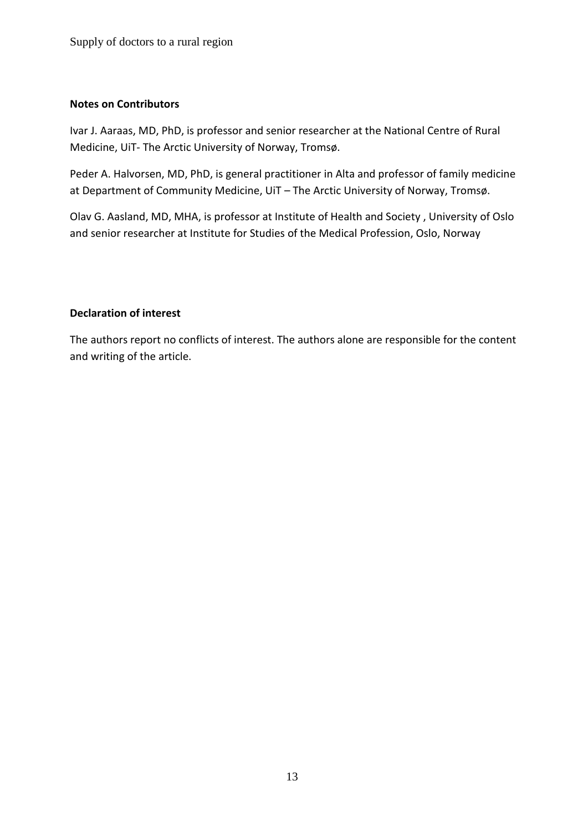## **Notes on Contributors**

Ivar J. Aaraas, MD, PhD, is professor and senior researcher at the National Centre of Rural Medicine, UiT- The Arctic University of Norway, Tromsø.

Peder A. Halvorsen, MD, PhD, is general practitioner in Alta and professor of family medicine at Department of Community Medicine, UiT – The Arctic University of Norway, Tromsø.

Olav G. Aasland, MD, MHA, is professor at Institute of Health and Society , University of Oslo and senior researcher at Institute for Studies of the Medical Profession, Oslo, Norway

### **Declaration of interest**

The authors report no conflicts of interest. The authors alone are responsible for the content and writing of the article.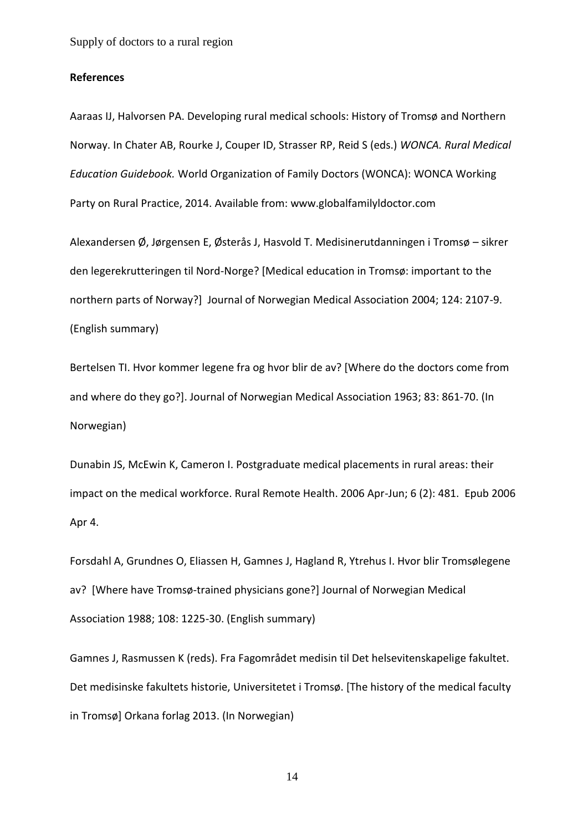#### **References**

Aaraas IJ, Halvorsen PA. Developing rural medical schools: History of Tromsø and Northern Norway. In Chater AB, Rourke J, Couper ID, Strasser RP, Reid S (eds.) *WONCA. Rural Medical Education Guidebook.* World Organization of Family Doctors (WONCA): WONCA Working Party on Rural Practice, 2014. Available from: www.globalfamilyldoctor.com

Alexandersen Ø, Jørgensen E, Østerås J, Hasvold T. Medisinerutdanningen i Tromsø – sikrer den legerekrutteringen til Nord-Norge? [Medical education in Tromsø: important to the northern parts of Norway?] Journal of Norwegian Medical Association 2004; 124: 2107-9. (English summary)

Bertelsen TI. Hvor kommer legene fra og hvor blir de av? [Where do the doctors come from and where do they go?]. Journal of Norwegian Medical Association 1963; 83: 861-70. (In Norwegian)

Dunabin JS, McEwin K, Cameron I. Postgraduate medical placements in rural areas: their impact on the medical workforce. Rural Remote Health. 2006 Apr-Jun; 6 (2): 481. Epub 2006 Apr 4.

Forsdahl A, Grundnes O, Eliassen H, Gamnes J, Hagland R, Ytrehus I. Hvor blir Tromsølegene av? [Where have Tromsø-trained physicians gone?] Journal of Norwegian Medical Association 1988; 108: 1225-30. (English summary)

Gamnes J, Rasmussen K (reds). Fra Fagområdet medisin til Det helsevitenskapelige fakultet. Det medisinske fakultets historie, Universitetet i Tromsø. [The history of the medical faculty in Tromsø] Orkana forlag 2013. (In Norwegian)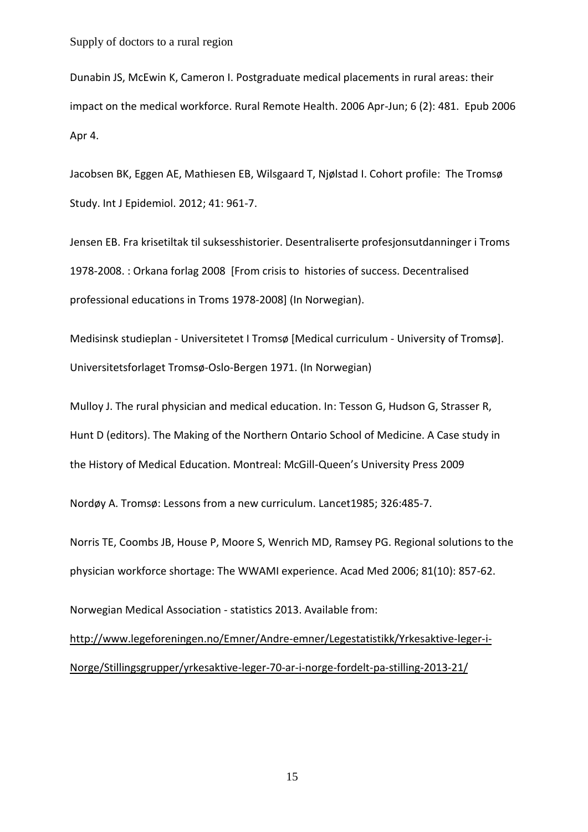Dunabin JS, McEwin K, Cameron I. Postgraduate medical placements in rural areas: their impact on the medical workforce. Rural Remote Health. 2006 Apr-Jun; 6 (2): 481. Epub 2006 Apr 4.

Jacobsen BK, Eggen AE, Mathiesen EB, Wilsgaard T, Njølstad I. Cohort profile: The Tromsø Study. Int J Epidemiol. 2012; 41: 961-7.

Jensen EB. Fra krisetiltak til suksesshistorier. Desentraliserte profesjonsutdanninger i Troms 1978-2008. : Orkana forlag 2008 [From crisis to histories of success. Decentralised professional educations in Troms 1978-2008] (In Norwegian).

Medisinsk studieplan - Universitetet I Tromsø [Medical curriculum - University of Tromsø]. Universitetsforlaget Tromsø-Oslo-Bergen 1971. (In Norwegian)

Mulloy J. The rural physician and medical education. In: Tesson G, Hudson G, Strasser R, Hunt D (editors). The Making of the Northern Ontario School of Medicine. A Case study in the History of Medical Education. Montreal: McGill-Queen's University Press 2009

Nordøy A. Tromsø: Lessons from a new curriculum. Lancet1985; 326:485-7.

Norris TE, Coombs JB, House P, Moore S, Wenrich MD, Ramsey PG. Regional solutions to the physician workforce shortage: The WWAMI experience. Acad Med 2006; 81(10): 857-62.

Norwegian Medical Association - statistics 2013. Available from: [http://www.legeforeningen.no/Emner/Andre-emner/Legestatistikk/Yrkesaktive-leger-i-](http://www.legeforeningen.no/Emner/Andre-emner/Legestatistikk/Yrkesaktive-leger-i-Norge/Stillingsgrupper/yrkesaktive-leger-70-ar-i-norge-fordelt-pa-stilling-2013-21/)

[Norge/Stillingsgrupper/yrkesaktive-leger-70-ar-i-norge-fordelt-pa-stilling-2013-21/](http://www.legeforeningen.no/Emner/Andre-emner/Legestatistikk/Yrkesaktive-leger-i-Norge/Stillingsgrupper/yrkesaktive-leger-70-ar-i-norge-fordelt-pa-stilling-2013-21/)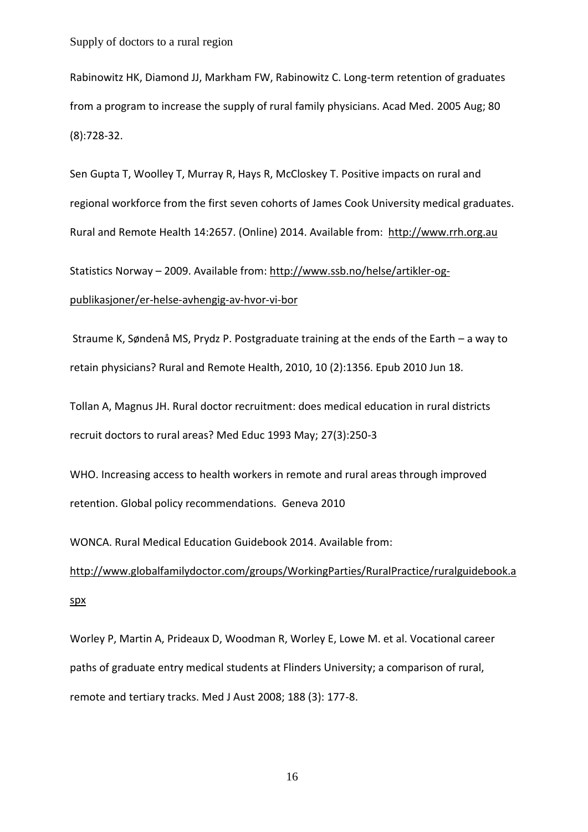Rabinowitz HK, Diamond JJ, Markham FW, Rabinowitz C. Long-term retention of graduates from a program to increase the supply of rural family physicians. Acad Med. 2005 Aug; 80 (8):728-32.

Sen Gupta T, Woolley T, Murray R, Hays R, McCloskey T. Positive impacts on rural and regional workforce from the first seven cohorts of James Cook University medical graduates. Rural and Remote Health 14:2657. (Online) 2014. Available from: [http://www.rrh.org.au](http://www.rrh.org.au/)

Statistics Norway – 2009. Available from: [http://www.ssb.no/helse/artikler-og](http://www.ssb.no/helse/artikler-og-publikasjoner/er-helse-avhengig-av-hvor-vi-bor)[publikasjoner/er-helse-avhengig-av-hvor-vi-bor](http://www.ssb.no/helse/artikler-og-publikasjoner/er-helse-avhengig-av-hvor-vi-bor)

Straume K, Søndenå MS, Prydz P. Postgraduate training at the ends of the Earth – a way to retain physicians? Rural and Remote Health, 2010, 10 (2):1356. Epub 2010 Jun 18.

Tollan A, Magnus JH. [Rural doctor recruitment: does medical education in rural districts](http://www.ncbi.nlm.nih.gov/pubmed/8336575?itool=EntrezSystem2.PEntrez.Pubmed.Pubmed_ResultsPanel.Pubmed_RVDocSum&ordinalpos=13)  [recruit doctors to rural areas?](http://www.ncbi.nlm.nih.gov/pubmed/8336575?itool=EntrezSystem2.PEntrez.Pubmed.Pubmed_ResultsPanel.Pubmed_RVDocSum&ordinalpos=13) Med Educ 1993 May; 27(3):250-3

WHO. Increasing access to health workers in remote and rural areas through improved retention. Global policy recommendations. Geneva 2010

WONCA. Rural Medical Education Guidebook 2014. Available from:

[http://www.globalfamilydoctor.com/groups/WorkingParties/RuralPractice/ruralguidebook.a](http://www.globalfamilydoctor.com/groups/WorkingParties/RuralPractice/ruralguidebook.aspx) [spx](http://www.globalfamilydoctor.com/groups/WorkingParties/RuralPractice/ruralguidebook.aspx)

Worley P, Martin A, Prideaux D, Woodman R, Worley E, Lowe M. et al. Vocational career paths of graduate entry medical students at Flinders University; a comparison of rural, remote and tertiary tracks. Med J Aust 2008; 188 (3): 177-8.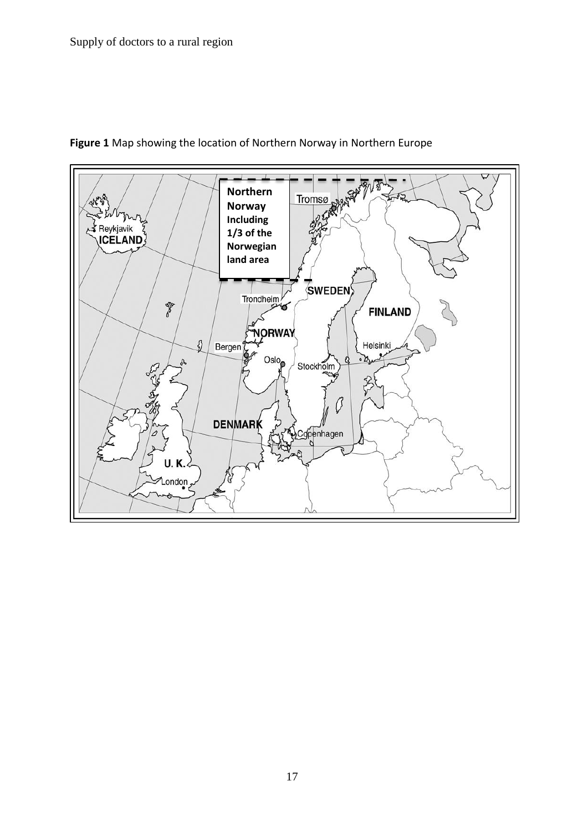

## **Figure 1** Map showing the location of Northern Norway in Northern Europe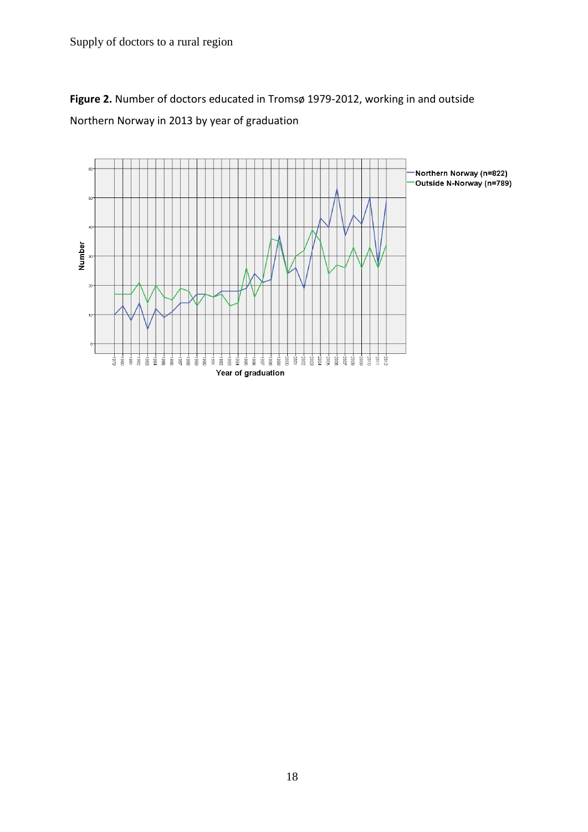**Figure 2.** Number of doctors educated in Tromsø 1979-2012, working in and outside Northern Norway in 2013 by year of graduation